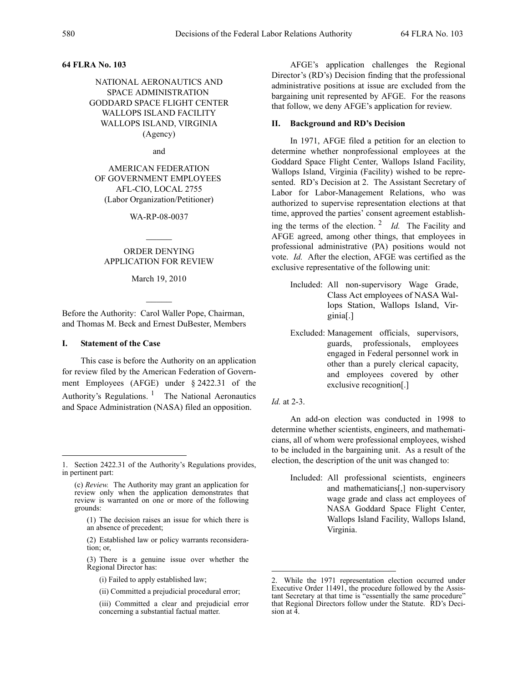## **64 FLRA No. 103**

# NATIONAL AERONAUTICS AND SPACE ADMINISTRATION GODDARD SPACE FLIGHT CENTER WALLOPS ISLAND FACILITY WALLOPS ISLAND, VIRGINIA (Agency)

and

AMERICAN FEDERATION OF GOVERNMENT EMPLOYEES AFL-CIO, LOCAL 2755 (Labor Organization/Petitioner)

WA-RP-08-0037

 $\mathcal{L}$ 

# ORDER DENYING APPLICATION FOR REVIEW

March 19, 2010

 $\mathcal{L}$ 

Before the Authority: Carol Waller Pope, Chairman, and Thomas M. Beck and Ernest DuBester, Members

## **I. Statement of the Case**

This case is before the Authority on an application for review filed by the American Federation of Government Employees (AFGE) under § 2422.31 of the Authority's Regulations.  $\frac{1}{1}$  The National Aeronautics and Space Administration (NASA) filed an opposition.

- (1) The decision raises an issue for which there is an absence of precedent;
- (2) Established law or policy warrants reconsideration; or,
- (3) There is a genuine issue over whether the Regional Director has:
	- (i) Failed to apply established law;
	- (ii) Committed a prejudicial procedural error;
	- (iii) Committed a clear and prejudicial error concerning a substantial factual matter.

AFGE's application challenges the Regional Director's (RD's) Decision finding that the professional administrative positions at issue are excluded from the bargaining unit represented by AFGE. For the reasons that follow, we deny AFGE's application for review.

### **II. Background and RD's Decision**

In 1971, AFGE filed a petition for an election to determine whether nonprofessional employees at the Goddard Space Flight Center, Wallops Island Facility, Wallops Island, Virginia (Facility) wished to be represented. RD's Decision at 2. The Assistant Secretary of Labor for Labor-Management Relations, who was authorized to supervise representation elections at that time, approved the parties' consent agreement establishing the terms of the election. 2 *Id.* The Facility and AFGE agreed, among other things, that employees in professional administrative (PA) positions would not vote. *Id.* After the election, AFGE was certified as the exclusive representative of the following unit:

- Included: All non-supervisory Wage Grade, Class Act employees of NASA Wallops Station, Wallops Island, Virginia[.]
- Excluded: Management officials, supervisors, guards, professionals, employees engaged in Federal personnel work in other than a purely clerical capacity, and employees covered by other exclusive recognition[.]
- *Id.* at 2-3.

An add-on election was conducted in 1998 to determine whether scientists, engineers, and mathematicians, all of whom were professional employees, wished to be included in the bargaining unit. As a result of the election, the description of the unit was changed to:

Included: All professional scientists, engineers and mathematicians[,] non-supervisory wage grade and class act employees of NASA Goddard Space Flight Center, Wallops Island Facility, Wallops Island, Virginia.

<sup>1.</sup> Section 2422.31 of the Authority's Regulations provides, in pertinent part:

<sup>(</sup>c) *Review.* The Authority may grant an application for review only when the application demonstrates that review is warranted on one or more of the following grounds:

While the 1971 representation election occurred under Executive Order 11491, the procedure followed by the Assis- tant Secretary at that time is "essentially the same procedure" that Regional Directors follow under the Statute. RD's Deci- sion at 4.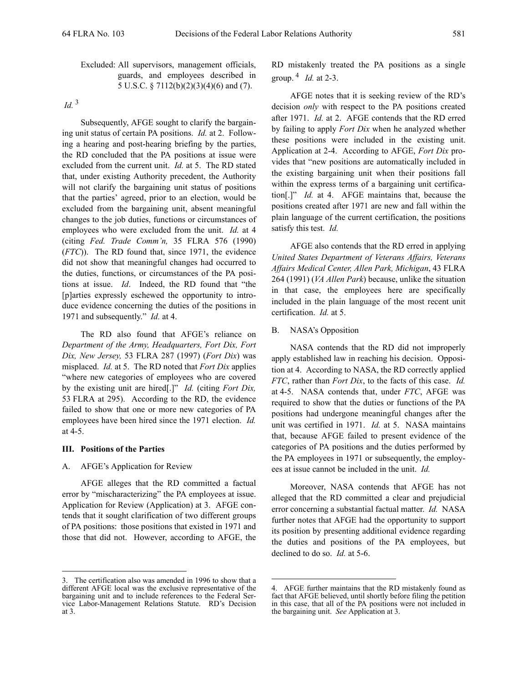# Excluded: All supervisors, management officials, guards, and employees described in 5 U.S.C. § 7112(b)(2)(3)(4)(6) and (7).

# *Id.*<sup>3</sup>

Subsequently, AFGE sought to clarify the bargaining unit status of certain PA positions. *Id.* at 2. Following a hearing and post-hearing briefing by the parties, the RD concluded that the PA positions at issue were excluded from the current unit. *Id.* at 5. The RD stated that, under existing Authority precedent, the Authority will not clarify the bargaining unit status of positions that the parties' agreed, prior to an election, would be excluded from the bargaining unit, absent meaningful changes to the job duties, functions or circumstances of employees who were excluded from the unit. *Id.* at 4 (citing *Fed. Trade Comm'n,* 35 FLRA 576 (1990) (*FTC*)). The RD found that, since 1971, the evidence did not show that meaningful changes had occurred to the duties, functions, or circumstances of the PA positions at issue. *Id*. Indeed, the RD found that "the [p]arties expressly eschewed the opportunity to introduce evidence concerning the duties of the positions in 1971 and subsequently." *Id.* at 4.

The RD also found that AFGE's reliance on *Department of the Army, Headquarters, Fort Dix, Fort Dix, New Jersey,* 53 FLRA 287 (1997) (*Fort Dix*) was misplaced. *Id.* at 5. The RD noted that *Fort Dix* applies "where new categories of employees who are covered by the existing unit are hired[.]" *Id.* (citing *Fort Dix,* 53 FLRA at 295). According to the RD, the evidence failed to show that one or more new categories of PA employees have been hired since the 1971 election. *Id.* at 4-5.

## **III. Positions of the Parties**

### A. AFGE's Application for Review

AFGE alleges that the RD committed a factual error by "mischaracterizing" the PA employees at issue. Application for Review (Application) at 3. AFGE contends that it sought clarification of two different groups of PA positions: those positions that existed in 1971 and those that did not. However, according to AFGE, the RD mistakenly treated the PA positions as a single group. 4 *Id.* at 2-3.

AFGE notes that it is seeking review of the RD's decision *only* with respect to the PA positions created after 1971. *Id.* at 2. AFGE contends that the RD erred by failing to apply *Fort Dix* when he analyzed whether these positions were included in the existing unit. Application at 2-4. According to AFGE, *Fort Dix* provides that "new positions are automatically included in the existing bargaining unit when their positions fall within the express terms of a bargaining unit certification[.]" *Id.* at 4. AFGE maintains that, because the positions created after 1971 are new and fall within the plain language of the current certification, the positions satisfy this test. *Id.*

AFGE also contends that the RD erred in applying *United States Department of Veterans Affairs, Veterans Affairs Medical Center, Allen Park, Michigan*, 43 FLRA 264 (1991) (*VA Allen Park*) because, unlike the situation in that case, the employees here are specifically included in the plain language of the most recent unit certification. *Id.* at 5.

#### B. NASA's Opposition

NASA contends that the RD did not improperly apply established law in reaching his decision. Opposition at 4. According to NASA, the RD correctly applied *FTC*, rather than *Fort Dix*, to the facts of this case. *Id.* at 4-5. NASA contends that, under *FTC*, AFGE was required to show that the duties or functions of the PA positions had undergone meaningful changes after the unit was certified in 1971. *Id.* at 5. NASA maintains that, because AFGE failed to present evidence of the categories of PA positions and the duties performed by the PA employees in 1971 or subsequently, the employees at issue cannot be included in the unit. *Id.*

Moreover, NASA contends that AFGE has not alleged that the RD committed a clear and prejudicial error concerning a substantial factual matter. *Id.* NASA further notes that AFGE had the opportunity to support its position by presenting additional evidence regarding the duties and positions of the PA employees, but declined to do so. *Id.* at 5-6.

The certification also was amended in 1996 to show that a different AFGE local was the exclusive representative of the bargaining unit and to include references to the Federal Ser- vice Labor-Management Relations Statute. RD's Decision at 3.

<sup>4.</sup> AFGE further maintains that the RD mistakenly found as fact that AFGE believed, until shortly before filing the petition in this case, that all of the PA positions were not included in the bargaining unit. *See* Application at 3.